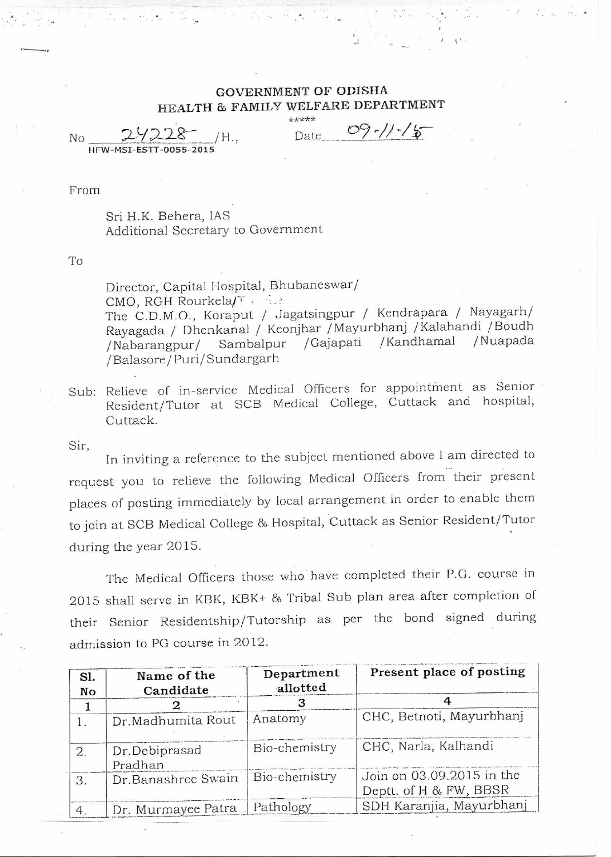## **GOVERNMENT OF ODISHA HEALTH & FAMILY WELFARE DEPARTMENT**

 $No$  29228 /H., Date  $09.7$ 

**\*\*\*\*\*** 

HFW-MSI-ESTT-0055-2015

From

## Sri H.K. Behera, IAS Additional Secretary to Government

To

Director, Capital Hospital, Bhubaneswar/ CMO, RGH Rourkela/ The C.D.M.O., Koraput / Jagatsingpur / Kendrapara / Nayagarh/ Rayagada / Dhenkanal / Keonjhar /Mayurbhanj /Kalahandi /Boudh /Nabarangpur/ Sambalpur /Gajapati /Kandhamal /Balasore/Puri/Sundargarh

Sub: Relieve of in-service Medical Officers for appointment as Senior Resident/Tutor at SCB Medical College, Cuttack and hospital, Cuttack.

Sir, In inviting a reference to the subject mentioned above I am directed to request you to relieve the following Medical Officers from their present places of posting immediately by local arrangement in order to enable them to join at SCB Medical College & Hospital, Cuttack as Senior Resident/Tutor during the year 2015.

The Medical Officers those who have completed their P.G. course in 2015 shall serve in KBK, KBK+ & Tribal Sub plan area after completion of their Senior Residentship/Tutorship as per the bond signed during admission to PG course in 2012.

| Sl.<br>No | Name of the<br>Candidate | Department<br>allotted | Present place of posting                            |
|-----------|--------------------------|------------------------|-----------------------------------------------------|
|           |                          |                        |                                                     |
| 2.        | Dr.Debiprasad<br>Pradhan | Bio-chemistry          | CHC, Narla, Kalhandi                                |
| 3.        | Dr.Banashree Swain       | Bio-chemistry          | Join on 03.09.2015 in the<br>Deptt. of H & FW, BBSR |
|           | Dr. Murmayee Patra       | Pathology              | SDH Karanjia, Mayurbhanj                            |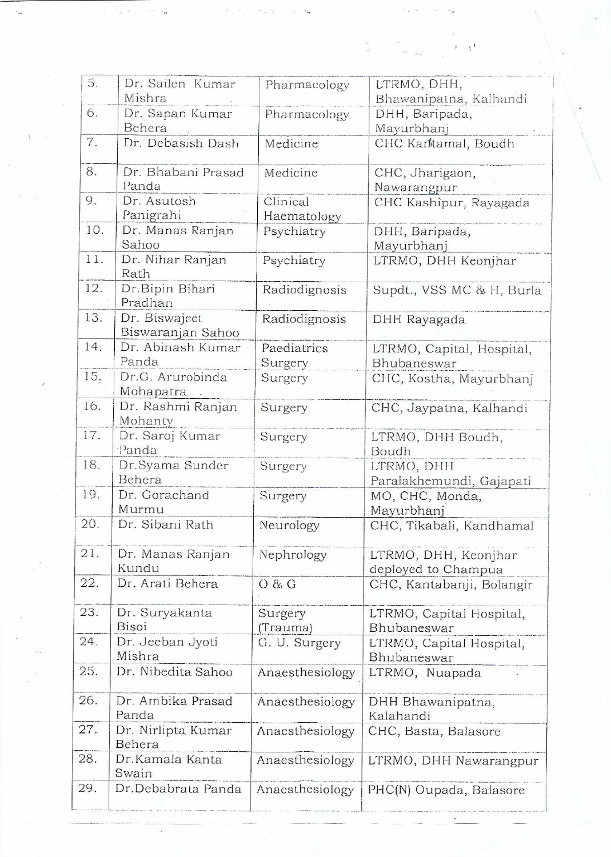| 5.  |                            |                 |                                       |
|-----|----------------------------|-----------------|---------------------------------------|
|     | Dr. Sailen Kumar<br>Mishra | Pharmacology    | LTRMO, DHH,<br>Bhawanipatna, Kalhandi |
| 6.  |                            |                 |                                       |
|     | Dr. Sapan Kumar<br>Behera  | Pharmacology    | DHH, Baripada,                        |
| 7.  |                            |                 | Mayurbhanj                            |
|     | Dr. Debasish Dash          | Medicine        | CHC Karttamal, Boudh                  |
| 8.  | Dr. Bhabani Prasad         | Medicine        | CHC, Jharigaon,                       |
|     | Panda                      |                 | Nawarangpur                           |
| 9.  | Dr. Asutosh                | Clinical        | CHC Kashipur, Rayagada                |
|     | Panigrahi                  | Haematology     |                                       |
| 10. | Dr. Manas Ranjan           | Psychiatry      | DHH, Baripada,                        |
|     | Sahoo                      |                 | Mayurbhanj                            |
| 11. | Dr. Nihar Ranjan<br>Rath   | Psychiatry      | LTRMO, DHH Keonjhar                   |
| 12. |                            |                 |                                       |
|     | Dr.Bipin Bihari<br>Pradhan | Radiodignosis   | Supdt., VSS MC & H, Burla             |
| 13. | Dr. Biswaject              | Radiodignosis   | DHH Rayagada                          |
|     | Biswaranjan Sahoo          |                 |                                       |
| 14. | Dr. Abinash Kumar          | Paediatrics     | LTRMO, Capital, Hospital,             |
|     | Panda                      | Surgery         | Bhubaneswar                           |
| 15. | Dr.G. Arurobinda           | Surgery         | CHC, Kostha, Mayurbhanj               |
|     | Mohapatra                  |                 |                                       |
| 16. | Dr. Rashmi Ranjan          | Surgery         | CHC, Jaypatna, Kalhandi               |
|     | Mohanty                    |                 |                                       |
| 17. | Dr. Saroj Kumar            | Surgery         | LTRMO, DHH Boudh,                     |
|     | Panda                      |                 | Boudh                                 |
| 18. | Dr.Syama Sunder            | Surgery         | LTRMO, DHH                            |
|     | Behera                     |                 | Paralakhemundi, Gajapati              |
| 19. | Dr. Gorachand              | Surgery         | MO, CHC, Monda,                       |
|     | Murmu                      |                 | Mayurbhanj                            |
| 20. | Dr. Sibani Rath            | Neurology       | CHC, Tikabali, Kandhamal              |
| 21. | Dr. Manas Ranjan           | Nephrology      | LTRMO, DHH, Keonjhar                  |
|     | Kundu                      |                 | deployed to Champua                   |
| 22. | Dr. Arati Behera           | O & G           | CHC, Kantabanji, Bolangir             |
|     |                            |                 |                                       |
| 23. | Dr. Suryakanta             | Surgery         | LTRMO, Capital Hospital,              |
|     | Bisoi                      | (Trauma)        | Bhubaneswar                           |
| 24. | Dr. Jeeban Jyoti           | G. U. Surgery   | LTRMO, Capital Hospital,              |
|     | Mishra                     |                 | Bhubaneswar                           |
| 25. | Dr. Nibedita Sahoo         | Anaesthesiology | LTRMO, Nuapada                        |
| 26. | Dr. Ambika Prasad          | Anaesthesiology |                                       |
|     | Panda                      |                 | DHH Bhawanipatna,<br>Kalahandi        |
| 27. | Dr. Nirlipta Kumar         | Anaesthesiology | CHC, Basta, Balasore                  |
|     | Behera                     |                 |                                       |
| 28. | Dr.Kamala Kanta            | Anaesthesiology | LTRMO, DHH Nawarangpur                |
|     | Swain                      |                 |                                       |
| 29. | Dr.Debabrata Panda         | Anacsthesiology | PHC(N) Oupada, Balasore               |
|     |                            |                 |                                       |

Ã.  $\tilde{\ell}$  t